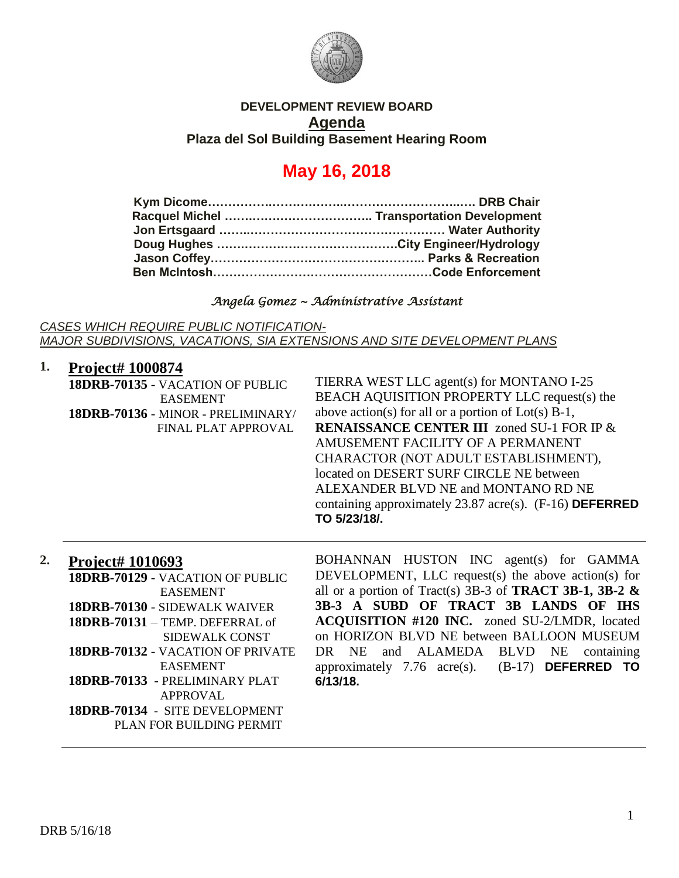

## **DEVELOPMENT REVIEW BOARD Agenda Plaza del Sol Building Basement Hearing Room**

# **May 16, 2018**

## *Angela Gomez ~ Administrative Assistant*

*CASES WHICH REQUIRE PUBLIC NOTIFICATION-MAJOR SUBDIVISIONS, VACATIONS, SIA EXTENSIONS AND SITE DEVELOPMENT PLANS*

| 1. | <b>Project# 1000874</b>            |                                                           |
|----|------------------------------------|-----------------------------------------------------------|
|    | 18DRB-70135 - VACATION OF PUBLIC   | TIERRA WEST LLC agent(s) for MONTANO I-25                 |
|    | <b>EASEMENT</b>                    | BEACH AQUISITION PROPERTY LLC request(s) the              |
|    | 18DRB-70136 - MINOR - PRELIMINARY/ | above action(s) for all or a portion of $Lot(s)$ B-1,     |
|    | FINAL PLAT APPROVAL                | <b>RENAISSANCE CENTER III</b> zoned SU-1 FOR IP &         |
|    |                                    | AMUSEMENT FACILITY OF A PERMANENT                         |
|    |                                    | CHARACTOR (NOT ADULT ESTABLISHMENT),                      |
|    |                                    | located on DESERT SURF CIRCLE NE between                  |
|    |                                    | ALEXANDER BLVD NE and MONTANO RD NE                       |
|    |                                    | containing approximately $23.87$ acre(s). (F-16) DEFERRED |
|    |                                    | TO 5/23/18/.                                              |

### **2. Project# 1010693**

| 18DRB-70129 - VACATION OF PUBLIC  | DEVELOPMENT, LLC request(s) the above action(s) for                |
|-----------------------------------|--------------------------------------------------------------------|
| EASEMENT                          | all or a portion of Tract(s) 3B-3 of <b>TRACT 3B-1, 3B-2 &amp;</b> |
| 18DRB-70130 - SIDEWALK WAIVER     | 3B-3 A SUBD OF TRACT 3B LANDS OF IHS                               |
| 18DRB-70131 - TEMP. DEFERRAL of   | ACQUISITION #120 INC. zoned SU-2/LMDR, located                     |
| SIDEWALK CONST                    | on HORIZON BLVD NE between BALLOON MUSEUM                          |
| 18DRB-70132 - VACATION OF PRIVATE | DR NE and ALAMEDA BLVD NE containing                               |
| <b>EASEMENT</b>                   | approximately 7.76 $\text{acre}(s)$ . (B-17) <b>DEFERRED TO</b>    |
| 18DRB-70133 - PRELIMINARY PLAT    | 6/13/18.                                                           |
| APPROVAL                          |                                                                    |
|                                   |                                                                    |

BOHANNAN HUSTON INC agent(s) for GAMMA

**18DRB-70134** - SITE DEVELOPMENT PLAN FOR BUILDING PERMIT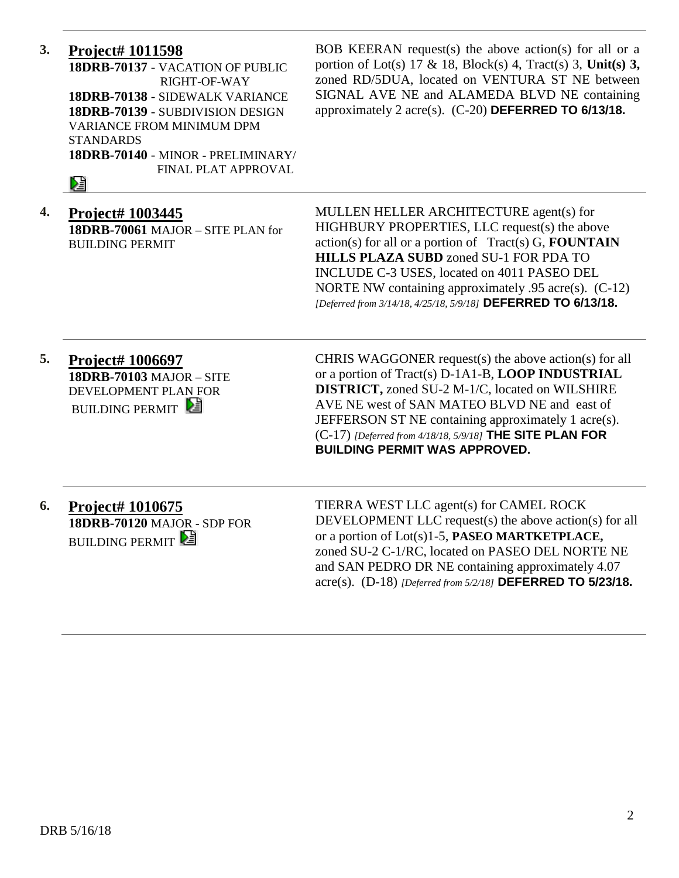| 3. | <b>Project# 1011598</b><br>18DRB-70137 - VACATION OF PUBLIC<br>RIGHT-OF-WAY<br>18DRB-70138 - SIDEWALK VARIANCE<br>18DRB-70139 - SUBDIVISION DESIGN<br><b>VARIANCE FROM MINIMUM DPM</b><br><b>STANDARDS</b><br>18DRB-70140 - MINOR - PRELIMINARY/<br>FINAL PLAT APPROVAL<br>Ŋ₫ | BOB KEERAN request(s) the above action(s) for all or a<br>portion of Lot(s) 17 & 18, Block(s) 4, Tract(s) 3, Unit(s) 3,<br>zoned RD/5DUA, located on VENTURA ST NE between<br>SIGNAL AVE NE and ALAMEDA BLVD NE containing<br>approximately 2 acre(s). $(C-20)$ DEFERRED TO 6/13/18.                                                                                                    |
|----|-------------------------------------------------------------------------------------------------------------------------------------------------------------------------------------------------------------------------------------------------------------------------------|-----------------------------------------------------------------------------------------------------------------------------------------------------------------------------------------------------------------------------------------------------------------------------------------------------------------------------------------------------------------------------------------|
| 4. | Project# 1003445<br>18DRB-70061 MAJOR - SITE PLAN for<br><b>BUILDING PERMIT</b>                                                                                                                                                                                               | MULLEN HELLER ARCHITECTURE agent(s) for<br>HIGHBURY PROPERTIES, LLC request(s) the above<br>$action(s)$ for all or a portion of Tract(s) G, <b>FOUNTAIN</b><br><b>HILLS PLAZA SUBD zoned SU-1 FOR PDA TO</b><br>INCLUDE C-3 USES, located on 4011 PASEO DEL<br>NORTE NW containing approximately $.95$ acre(s). (C-12)<br>[Deferred from 3/14/18, 4/25/18, 5/9/18] DEFERRED TO 6/13/18. |
| 5. | Project# 1006697<br><b>18DRB-70103 MAJOR - SITE</b><br>DEVELOPMENT PLAN FOR<br><b>BUILDING PERMIT</b>                                                                                                                                                                         | CHRIS WAGGONER request(s) the above action(s) for all<br>or a portion of Tract(s) D-1A1-B, LOOP INDUSTRIAL<br><b>DISTRICT, zoned SU-2 M-1/C, located on WILSHIRE</b><br>AVE NE west of SAN MATEO BLVD NE and east of<br>JEFFERSON ST NE containing approximately 1 acre(s).<br>$(C-17)$ [Deferred from 4/18/18, 5/9/18] THE SITE PLAN FOR<br><b>BUILDING PERMIT WAS APPROVED.</b>       |
| 6. | <b>Project# 1010675</b><br>18DRB-70120 MAJOR - SDP FOR<br><b>BUILDING PERMIT</b>                                                                                                                                                                                              | TIERRA WEST LLC agent(s) for CAMEL ROCK<br>DEVELOPMENT LLC request(s) the above action(s) for all<br>or a portion of Lot(s)1-5, PASEO MARTKETPLACE,<br>zoned SU-2 C-1/RC, located on PASEO DEL NORTE NE<br>and SAN PEDRO DR NE containing approximately 4.07                                                                                                                            |

acre(s). (D-18) *[Deferred from 5/2/18]* **DEFERRED TO 5/23/18.**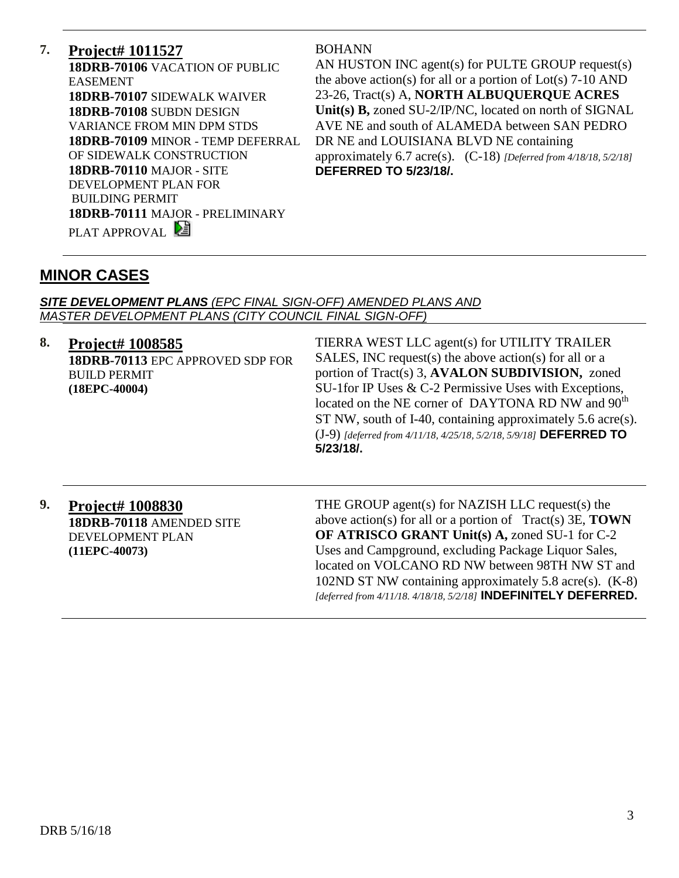# **7. Project# 1011527**

**18DRB-70106** VACATION OF PUBLIC EASEMENT **18DRB-70107** SIDEWALK WAIVER **18DRB-70108** SUBDN DESIGN VARIANCE FROM MIN DPM STDS **18DRB-70109** MINOR - TEMP DEFERRAL OF SIDEWALK CONSTRUCTION **18DRB-70110** MAJOR - SITE DEVELOPMENT PLAN FOR BUILDING PERMIT **18DRB-70111** MAJOR - PRELIMINARY PLAT APPROVAL

#### BOHANN

AN HUSTON INC agent(s) for PULTE GROUP request(s) the above action(s) for all or a portion of Lot(s) 7-10 AND 23-26, Tract(s) A, **NORTH ALBUQUERQUE ACRES Unit(s) B,** zoned SU-2/IP/NC, located on north of SIGNAL AVE NE and south of ALAMEDA between SAN PEDRO DR NE and LOUISIANA BLVD NE containing approximately 6.7 acre(s). (C-18) *[Deferred from 4/18/18, 5/2/18]* **DEFERRED TO 5/23/18/.**

# **MINOR CASES**

#### *SITE DEVELOPMENT PLANS (EPC FINAL SIGN-OFF) AMENDED PLANS AND MASTER DEVELOPMENT PLANS (CITY COUNCIL FINAL SIGN-OFF)*

#### **8. Project# 1008585**

**18DRB-70113** EPC APPROVED SDP FOR BUILD PERMIT **(18EPC-40004)**

TIERRA WEST LLC agent(s) for UTILITY TRAILER SALES, INC request(s) the above action(s) for all or a portion of Tract(s) 3, **AVALON SUBDIVISION,** zoned SU-1for IP Uses & C-2 Permissive Uses with Exceptions, located on the NE corner of DAYTONA RD NW and  $90<sup>th</sup>$ ST NW, south of I-40, containing approximately 5.6 acre(s). (J-9) *[deferred from 4/11/18, 4/25/18, 5/2/18, 5/9/18]* **DEFERRED TO 5/23/18/.**

**9. Project# 1008830 18DRB-70118** AMENDED SITE DEVELOPMENT PLAN **(11EPC-40073)**

THE GROUP agent(s) for NAZISH LLC request(s) the above action(s) for all or a portion of Tract(s) 3E, **TOWN OF ATRISCO GRANT Unit(s) A,** zoned SU-1 for C-2 Uses and Campground, excluding Package Liquor Sales, located on VOLCANO RD NW between 98TH NW ST and 102ND ST NW containing approximately 5.8 acre(s). (K-8) *[deferred from 4/11/18. 4/18/18, 5/2/18]* **INDEFINITELY DEFERRED.**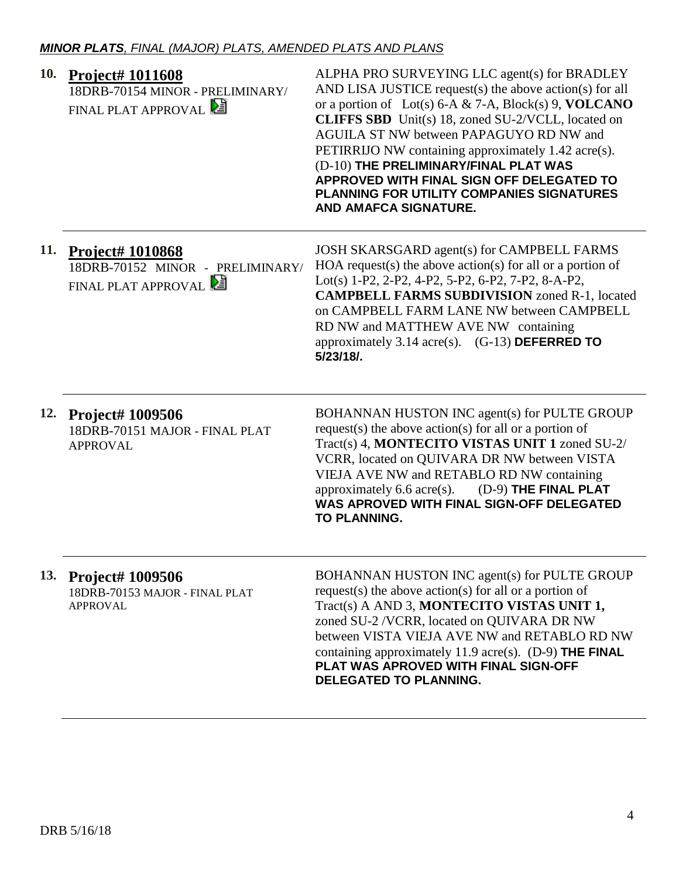| 10. | <b>Project# 1011608</b><br>18DRB-70154 MINOR - PRELIMINARY/<br>FINAL PLAT APPROVAL | ALPHA PRO SURVEYING LLC agent(s) for BRADLEY<br>AND LISA JUSTICE request(s) the above action(s) for all<br>or a portion of Lot(s) 6-A & 7-A, Block(s) 9, VOLCANO<br><b>CLIFFS SBD</b> Unit(s) 18, zoned SU-2/VCLL, located on<br>AGUILA ST NW between PAPAGUYO RD NW and<br>PETIRRIJO NW containing approximately 1.42 acre(s).<br>(D-10) THE PRELIMINARY/FINAL PLAT WAS<br>APPROVED WITH FINAL SIGN OFF DELEGATED TO<br><b>PLANNING FOR UTILITY COMPANIES SIGNATURES</b><br><b>AND AMAFCA SIGNATURE.</b> |
|-----|------------------------------------------------------------------------------------|-----------------------------------------------------------------------------------------------------------------------------------------------------------------------------------------------------------------------------------------------------------------------------------------------------------------------------------------------------------------------------------------------------------------------------------------------------------------------------------------------------------|
| 11. | <b>Project# 1010868</b><br>18DRB-70152 MINOR - PRELIMINARY/<br>FINAL PLAT APPROVAL | JOSH SKARSGARD agent(s) for CAMPBELL FARMS<br>HOA request(s) the above action(s) for all or a portion of<br>Lot(s) 1-P2, 2-P2, 4-P2, 5-P2, 6-P2, 7-P2, 8-A-P2,<br><b>CAMPBELL FARMS SUBDIVISION zoned R-1, located</b><br>on CAMPBELL FARM LANE NW between CAMPBELL<br>RD NW and MATTHEW AVE NW containing<br>approximately 3.14 acre(s). $(G-13)$ DEFERRED TO<br>5/23/18/.                                                                                                                               |
|     | 12. Project# 1009506<br>18DRB-70151 MAJOR - FINAL PLAT<br><b>APPROVAL</b>          | BOHANNAN HUSTON INC agent(s) for PULTE GROUP<br>request(s) the above action(s) for all or a portion of<br>Tract(s) 4, MONTECITO VISTAS UNIT 1 zoned SU-2/<br>VCRR, located on QUIVARA DR NW between VISTA<br>VIEJA AVE NW and RETABLO RD NW containing<br>approximately 6.6 acre(s). $(D-9)$ THE FINAL PLAT<br>WAS APROVED WITH FINAL SIGN-OFF DELEGATED<br>TO PLANNING.                                                                                                                                  |
| 13. | <b>Project# 1009506</b><br>18DRB-70153 MAJOR - FINAL PLAT<br>APPROVAL              | BOHANNAN HUSTON INC agent(s) for PULTE GROUP<br>request(s) the above action(s) for all or a portion of<br>Tract(s) A AND 3, MONTECITO VISTAS UNIT 1,<br>zoned SU-2 /VCRR, located on QUIVARA DR NW<br>between VISTA VIEJA AVE NW and RETABLO RD NW<br>containing approximately 11.9 acre(s). $(D-9)$ THE FINAL<br>PLAT WAS APROVED WITH FINAL SIGN-OFF<br><b>DELEGATED TO PLANNING.</b>                                                                                                                   |